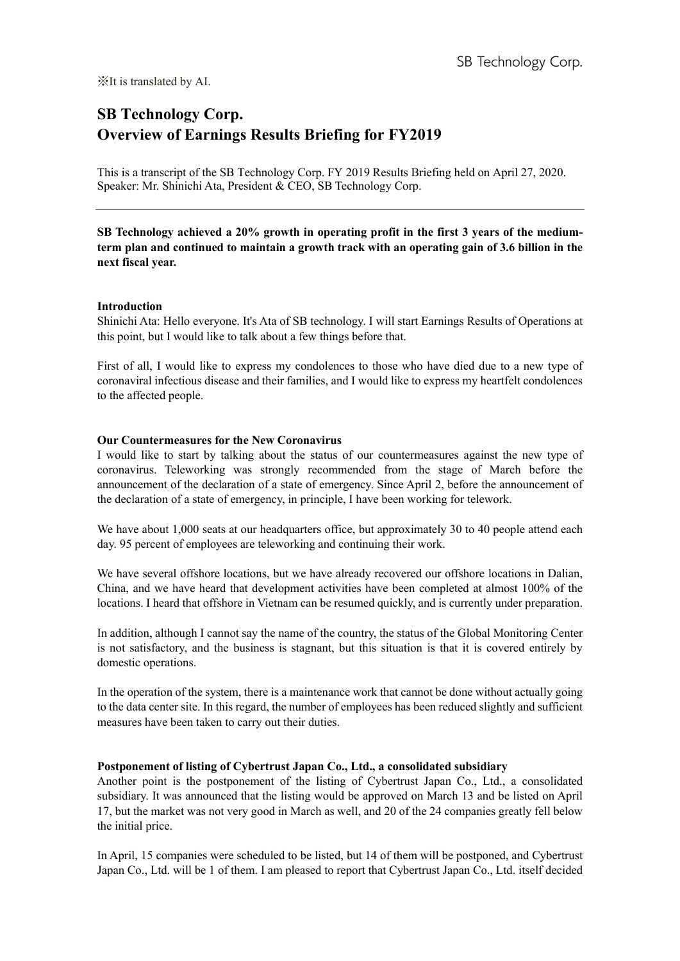# **SB Technology Corp. Overview of Earnings Results Briefing for FY2019**

This is a transcript of the SB Technology Corp. FY 2019 Results Briefing held on April 27, 2020. Speaker: Mr. Shinichi Ata, President & CEO, SB Technology Corp.

**SB Technology achieved a 20% growth in operating profit in the first 3 years of the mediumterm plan and continued to maintain a growth track with an operating gain of 3.6 billion in the next fiscal year.**

#### **Introduction**

Shinichi Ata: Hello everyone. It's Ata of SB technology. I will start Earnings Results of Operations at this point, but I would like to talk about a few things before that.

First of all, I would like to express my condolences to those who have died due to a new type of coronaviral infectious disease and their families, and I would like to express my heartfelt condolences to the affected people.

## **Our Countermeasures for the New Coronavirus**

I would like to start by talking about the status of our countermeasures against the new type of coronavirus. Teleworking was strongly recommended from the stage of March before the announcement of the declaration of a state of emergency. Since April 2, before the announcement of the declaration of a state of emergency, in principle, I have been working for telework.

We have about 1,000 seats at our headquarters office, but approximately 30 to 40 people attend each day. 95 percent of employees are teleworking and continuing their work.

We have several offshore locations, but we have already recovered our offshore locations in Dalian, China, and we have heard that development activities have been completed at almost 100% of the locations. I heard that offshore in Vietnam can be resumed quickly, and is currently under preparation.

In addition, although I cannot say the name of the country, the status of the Global Monitoring Center is not satisfactory, and the business is stagnant, but this situation is that it is covered entirely by domestic operations.

In the operation of the system, there is a maintenance work that cannot be done without actually going to the data center site. In this regard, the number of employees has been reduced slightly and sufficient measures have been taken to carry out their duties.

# **Postponement of listing of Cybertrust Japan Co., Ltd., a consolidated subsidiary**

Another point is the postponement of the listing of Cybertrust Japan Co., Ltd., a consolidated subsidiary. It was announced that the listing would be approved on March 13 and be listed on April 17, but the market was not very good in March as well, and 20 of the 24 companies greatly fell below the initial price.

In April, 15 companies were scheduled to be listed, but 14 of them will be postponed, and Cybertrust Japan Co., Ltd. will be 1 of them. I am pleased to report that Cybertrust Japan Co., Ltd. itself decided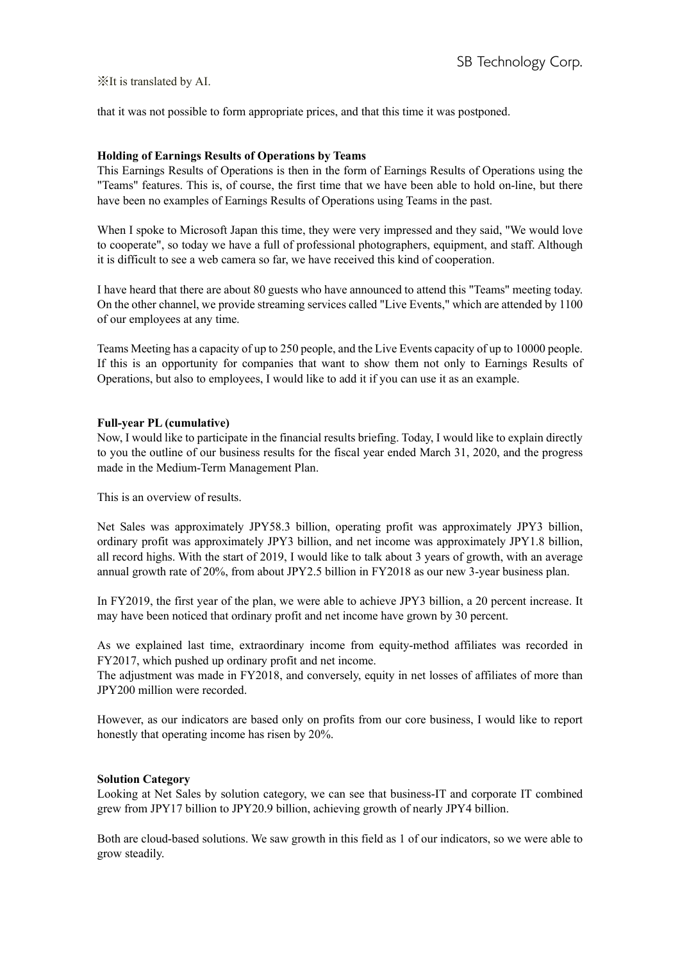that it was not possible to form appropriate prices, and that this time it was postponed.

# **Holding of Earnings Results of Operations by Teams**

This Earnings Results of Operations is then in the form of Earnings Results of Operations using the "Teams" features. This is, of course, the first time that we have been able to hold on-line, but there have been no examples of Earnings Results of Operations using Teams in the past.

When I spoke to Microsoft Japan this time, they were very impressed and they said, "We would love to cooperate", so today we have a full of professional photographers, equipment, and staff. Although it is difficult to see a web camera so far, we have received this kind of cooperation.

I have heard that there are about 80 guests who have announced to attend this "Teams" meeting today. On the other channel, we provide streaming services called "Live Events," which are attended by 1100 of our employees at any time.

Teams Meeting has a capacity of up to 250 people, and the Live Events capacity of up to 10000 people. If this is an opportunity for companies that want to show them not only to Earnings Results of Operations, but also to employees, I would like to add it if you can use it as an example.

## **Full-year PL (cumulative)**

Now, I would like to participate in the financial results briefing. Today, I would like to explain directly to you the outline of our business results for the fiscal year ended March 31, 2020, and the progress made in the Medium-Term Management Plan.

This is an overview of results.

Net Sales was approximately JPY58.3 billion, operating profit was approximately JPY3 billion, ordinary profit was approximately JPY3 billion, and net income was approximately JPY1.8 billion, all record highs. With the start of 2019, I would like to talk about 3 years of growth, with an average annual growth rate of 20%, from about JPY2.5 billion in FY2018 as our new 3-year business plan.

In FY2019, the first year of the plan, we were able to achieve JPY3 billion, a 20 percent increase. It may have been noticed that ordinary profit and net income have grown by 30 percent.

As we explained last time, extraordinary income from equity-method affiliates was recorded in FY2017, which pushed up ordinary profit and net income.

The adjustment was made in FY2018, and conversely, equity in net losses of affiliates of more than JPY200 million were recorded.

However, as our indicators are based only on profits from our core business, I would like to report honestly that operating income has risen by 20%.

# **Solution Category**

Looking at Net Sales by solution category, we can see that business-IT and corporate IT combined grew from JPY17 billion to JPY20.9 billion, achieving growth of nearly JPY4 billion.

Both are cloud-based solutions. We saw growth in this field as 1 of our indicators, so we were able to grow steadily.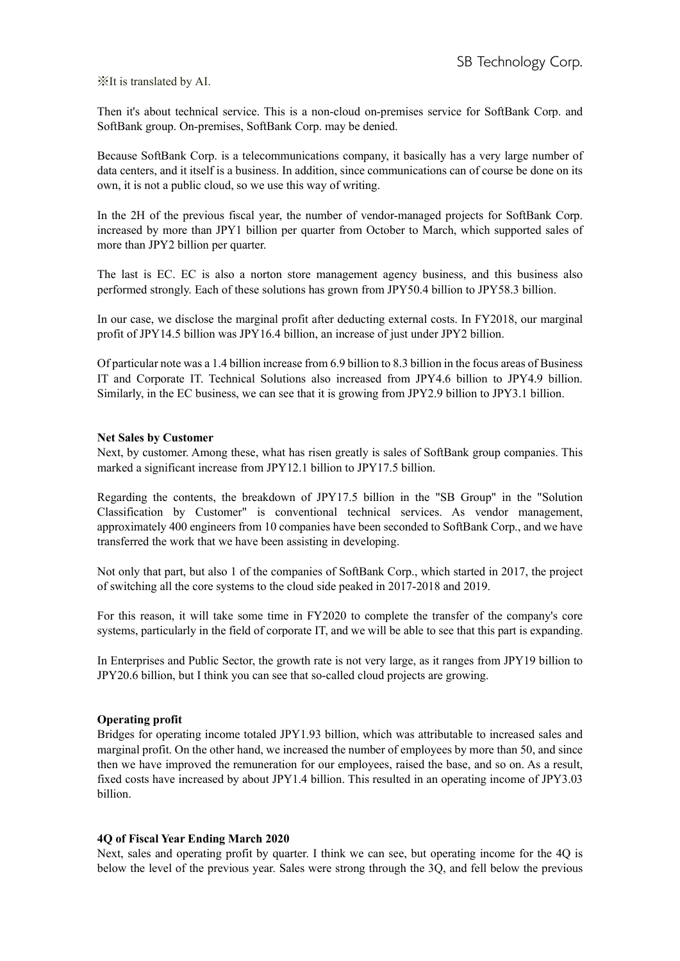Then it's about technical service. This is a non-cloud on-premises service for SoftBank Corp. and SoftBank group. On-premises, SoftBank Corp. may be denied.

Because SoftBank Corp. is a telecommunications company, it basically has a very large number of data centers, and it itself is a business. In addition, since communications can of course be done on its own, it is not a public cloud, so we use this way of writing.

In the 2H of the previous fiscal year, the number of vendor-managed projects for SoftBank Corp. increased by more than JPY1 billion per quarter from October to March, which supported sales of more than JPY2 billion per quarter.

The last is EC. EC is also a norton store management agency business, and this business also performed strongly. Each of these solutions has grown from JPY50.4 billion to JPY58.3 billion.

In our case, we disclose the marginal profit after deducting external costs. In FY2018, our marginal profit of JPY14.5 billion was JPY16.4 billion, an increase of just under JPY2 billion.

Of particular note was a 1.4 billion increase from 6.9 billion to 8.3 billion in the focus areas of Business IT and Corporate IT. Technical Solutions also increased from JPY4.6 billion to JPY4.9 billion. Similarly, in the EC business, we can see that it is growing from JPY2.9 billion to JPY3.1 billion.

## **Net Sales by Customer**

Next, by customer. Among these, what has risen greatly is sales of SoftBank group companies. This marked a significant increase from JPY12.1 billion to JPY17.5 billion.

Regarding the contents, the breakdown of JPY17.5 billion in the "SB Group" in the "Solution Classification by Customer" is conventional technical services. As vendor management, approximately 400 engineers from 10 companies have been seconded to SoftBank Corp., and we have transferred the work that we have been assisting in developing.

Not only that part, but also 1 of the companies of SoftBank Corp., which started in 2017, the project of switching all the core systems to the cloud side peaked in 2017-2018 and 2019.

For this reason, it will take some time in FY2020 to complete the transfer of the company's core systems, particularly in the field of corporate IT, and we will be able to see that this part is expanding.

In Enterprises and Public Sector, the growth rate is not very large, as it ranges from JPY19 billion to JPY20.6 billion, but I think you can see that so-called cloud projects are growing.

#### **Operating profit**

Bridges for operating income totaled JPY1.93 billion, which was attributable to increased sales and marginal profit. On the other hand, we increased the number of employees by more than 50, and since then we have improved the remuneration for our employees, raised the base, and so on. As a result, fixed costs have increased by about JPY1.4 billion. This resulted in an operating income of JPY3.03 billion.

#### **4Q of Fiscal Year Ending March 2020**

Next, sales and operating profit by quarter. I think we can see, but operating income for the 4Q is below the level of the previous year. Sales were strong through the 3Q, and fell below the previous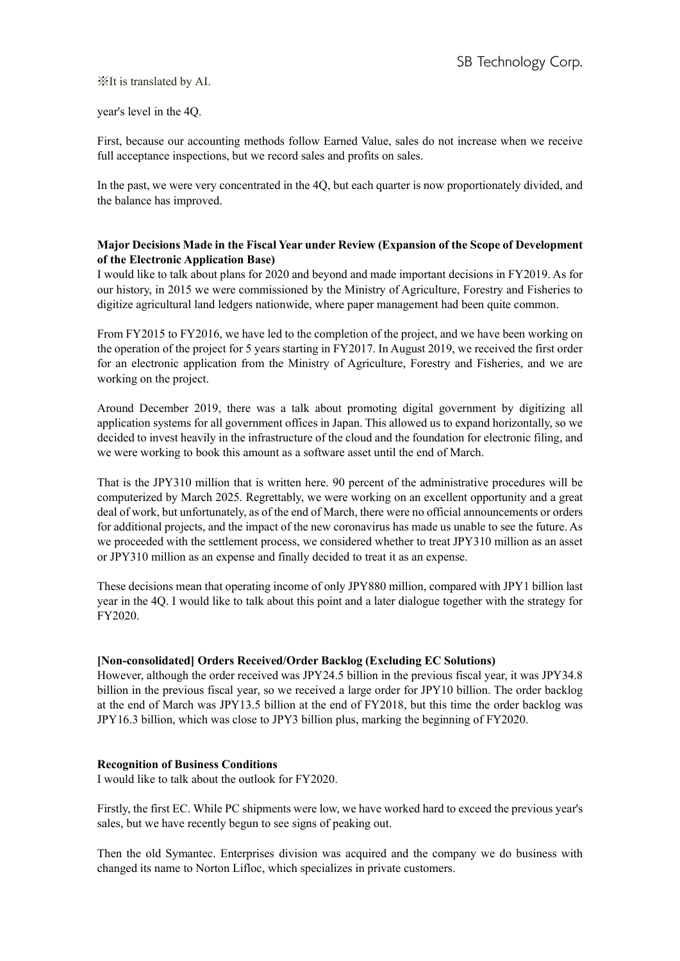year's level in the 4Q.

First, because our accounting methods follow Earned Value, sales do not increase when we receive full acceptance inspections, but we record sales and profits on sales.

In the past, we were very concentrated in the 4Q, but each quarter is now proportionately divided, and the balance has improved.

# **Major Decisions Made in the Fiscal Year under Review (Expansion of the Scope of Development of the Electronic Application Base)**

I would like to talk about plans for 2020 and beyond and made important decisions in FY2019. As for our history, in 2015 we were commissioned by the Ministry of Agriculture, Forestry and Fisheries to digitize agricultural land ledgers nationwide, where paper management had been quite common.

From FY2015 to FY2016, we have led to the completion of the project, and we have been working on the operation of the project for 5 years starting in FY2017. In August 2019, we received the first order for an electronic application from the Ministry of Agriculture, Forestry and Fisheries, and we are working on the project.

Around December 2019, there was a talk about promoting digital government by digitizing all application systems for all government offices in Japan. This allowed us to expand horizontally, so we decided to invest heavily in the infrastructure of the cloud and the foundation for electronic filing, and we were working to book this amount as a software asset until the end of March.

That is the JPY310 million that is written here. 90 percent of the administrative procedures will be computerized by March 2025. Regrettably, we were working on an excellent opportunity and a great deal of work, but unfortunately, as of the end of March, there were no official announcements or orders for additional projects, and the impact of the new coronavirus has made us unable to see the future. As we proceeded with the settlement process, we considered whether to treat JPY310 million as an asset or JPY310 million as an expense and finally decided to treat it as an expense.

These decisions mean that operating income of only JPY880 million, compared with JPY1 billion last year in the 4Q. I would like to talk about this point and a later dialogue together with the strategy for FY2020.

# **[Non-consolidated] Orders Received/Order Backlog (Excluding EC Solutions)**

However, although the order received was JPY24.5 billion in the previous fiscal year, it was JPY34.8 billion in the previous fiscal year, so we received a large order for JPY10 billion. The order backlog at the end of March was JPY13.5 billion at the end of FY2018, but this time the order backlog was JPY16.3 billion, which was close to JPY3 billion plus, marking the beginning of FY2020.

#### **Recognition of Business Conditions**

I would like to talk about the outlook for FY2020.

Firstly, the first EC. While PC shipments were low, we have worked hard to exceed the previous year's sales, but we have recently begun to see signs of peaking out.

Then the old Symantec. Enterprises division was acquired and the company we do business with changed its name to Norton Lifloc, which specializes in private customers.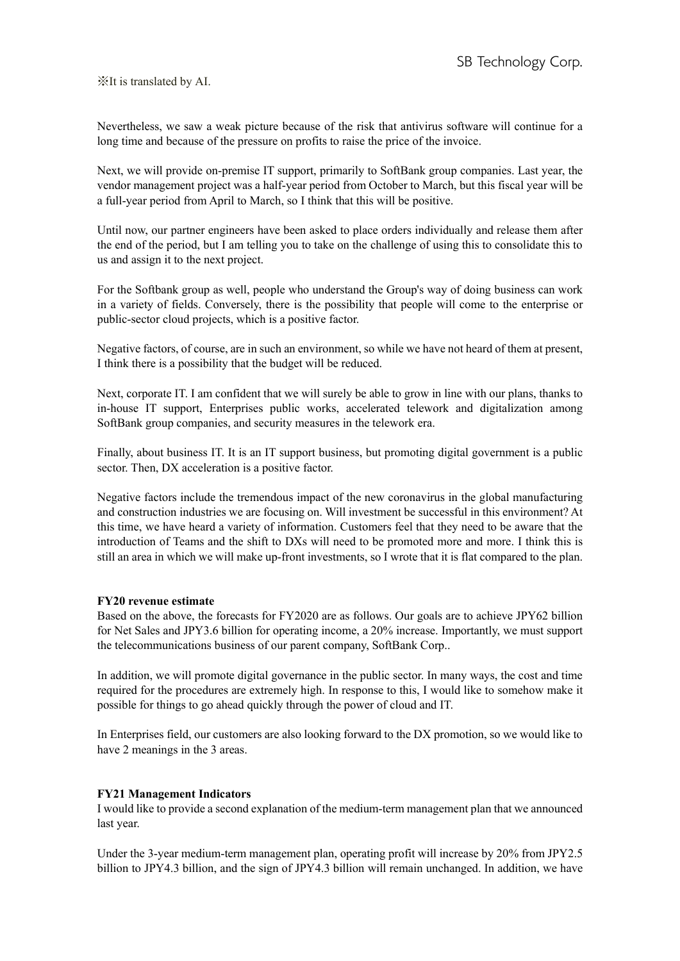Nevertheless, we saw a weak picture because of the risk that antivirus software will continue for a long time and because of the pressure on profits to raise the price of the invoice.

Next, we will provide on-premise IT support, primarily to SoftBank group companies. Last year, the vendor management project was a half-year period from October to March, but this fiscal year will be a full-year period from April to March, so I think that this will be positive.

Until now, our partner engineers have been asked to place orders individually and release them after the end of the period, but I am telling you to take on the challenge of using this to consolidate this to us and assign it to the next project.

For the Softbank group as well, people who understand the Group's way of doing business can work in a variety of fields. Conversely, there is the possibility that people will come to the enterprise or public-sector cloud projects, which is a positive factor.

Negative factors, of course, are in such an environment, so while we have not heard of them at present, I think there is a possibility that the budget will be reduced.

Next, corporate IT. I am confident that we will surely be able to grow in line with our plans, thanks to in-house IT support, Enterprises public works, accelerated telework and digitalization among SoftBank group companies, and security measures in the telework era.

Finally, about business IT. It is an IT support business, but promoting digital government is a public sector. Then, DX acceleration is a positive factor.

Negative factors include the tremendous impact of the new coronavirus in the global manufacturing and construction industries we are focusing on. Will investment be successful in this environment? At this time, we have heard a variety of information. Customers feel that they need to be aware that the introduction of Teams and the shift to DXs will need to be promoted more and more. I think this is still an area in which we will make up-front investments, so I wrote that it is flat compared to the plan.

#### **FY20 revenue estimate**

Based on the above, the forecasts for FY2020 are as follows. Our goals are to achieve JPY62 billion for Net Sales and JPY3.6 billion for operating income, a 20% increase. Importantly, we must support the telecommunications business of our parent company, SoftBank Corp..

In addition, we will promote digital governance in the public sector. In many ways, the cost and time required for the procedures are extremely high. In response to this, I would like to somehow make it possible for things to go ahead quickly through the power of cloud and IT.

In Enterprises field, our customers are also looking forward to the DX promotion, so we would like to have 2 meanings in the 3 areas.

#### **FY21 Management Indicators**

I would like to provide a second explanation of the medium-term management plan that we announced last year.

Under the 3-year medium-term management plan, operating profit will increase by 20% from JPY2.5 billion to JPY4.3 billion, and the sign of JPY4.3 billion will remain unchanged. In addition, we have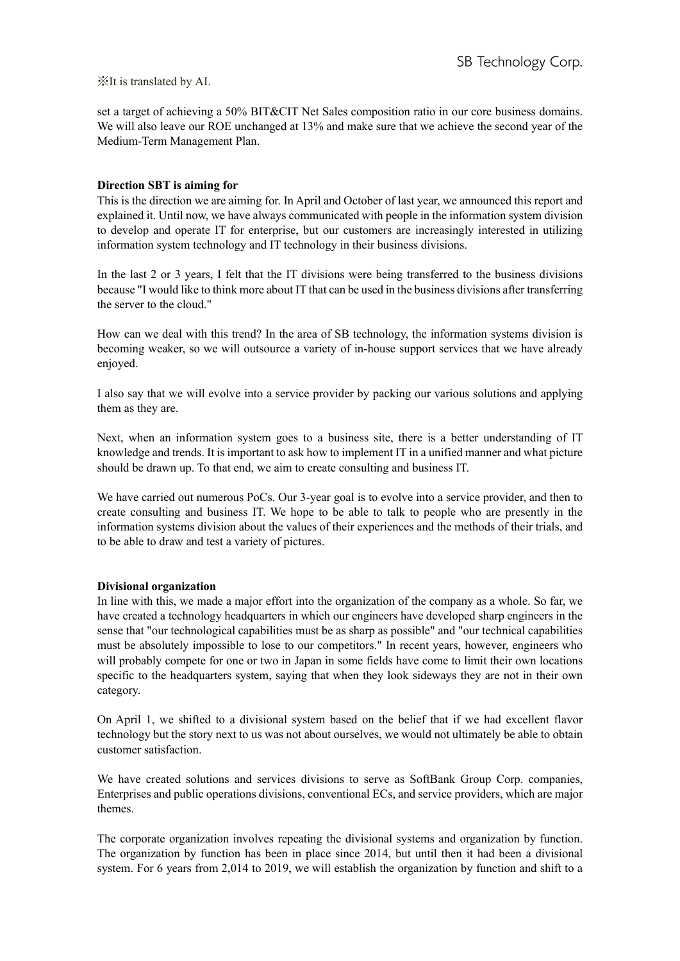set a target of achieving a 50% BIT&CIT Net Sales composition ratio in our core business domains. We will also leave our ROE unchanged at 13% and make sure that we achieve the second year of the Medium-Term Management Plan.

## **Direction SBT is aiming for**

This is the direction we are aiming for. In April and October of last year, we announced this report and explained it. Until now, we have always communicated with people in the information system division to develop and operate IT for enterprise, but our customers are increasingly interested in utilizing information system technology and IT technology in their business divisions.

In the last 2 or 3 years, I felt that the IT divisions were being transferred to the business divisions because "I would like to think more about IT that can be used in the business divisions after transferring the server to the cloud."

How can we deal with this trend? In the area of SB technology, the information systems division is becoming weaker, so we will outsource a variety of in-house support services that we have already enjoyed.

I also say that we will evolve into a service provider by packing our various solutions and applying them as they are.

Next, when an information system goes to a business site, there is a better understanding of IT knowledge and trends. It is important to ask how to implement IT in a unified manner and what picture should be drawn up. To that end, we aim to create consulting and business IT.

We have carried out numerous PoCs. Our 3-year goal is to evolve into a service provider, and then to create consulting and business IT. We hope to be able to talk to people who are presently in the information systems division about the values of their experiences and the methods of their trials, and to be able to draw and test a variety of pictures.

#### **Divisional organization**

In line with this, we made a major effort into the organization of the company as a whole. So far, we have created a technology headquarters in which our engineers have developed sharp engineers in the sense that "our technological capabilities must be as sharp as possible" and "our technical capabilities must be absolutely impossible to lose to our competitors." In recent years, however, engineers who will probably compete for one or two in Japan in some fields have come to limit their own locations specific to the headquarters system, saying that when they look sideways they are not in their own category.

On April 1, we shifted to a divisional system based on the belief that if we had excellent flavor technology but the story next to us was not about ourselves, we would not ultimately be able to obtain customer satisfaction.

We have created solutions and services divisions to serve as SoftBank Group Corp. companies, Enterprises and public operations divisions, conventional ECs, and service providers, which are major themes.

The corporate organization involves repeating the divisional systems and organization by function. The organization by function has been in place since 2014, but until then it had been a divisional system. For 6 years from 2,014 to 2019, we will establish the organization by function and shift to a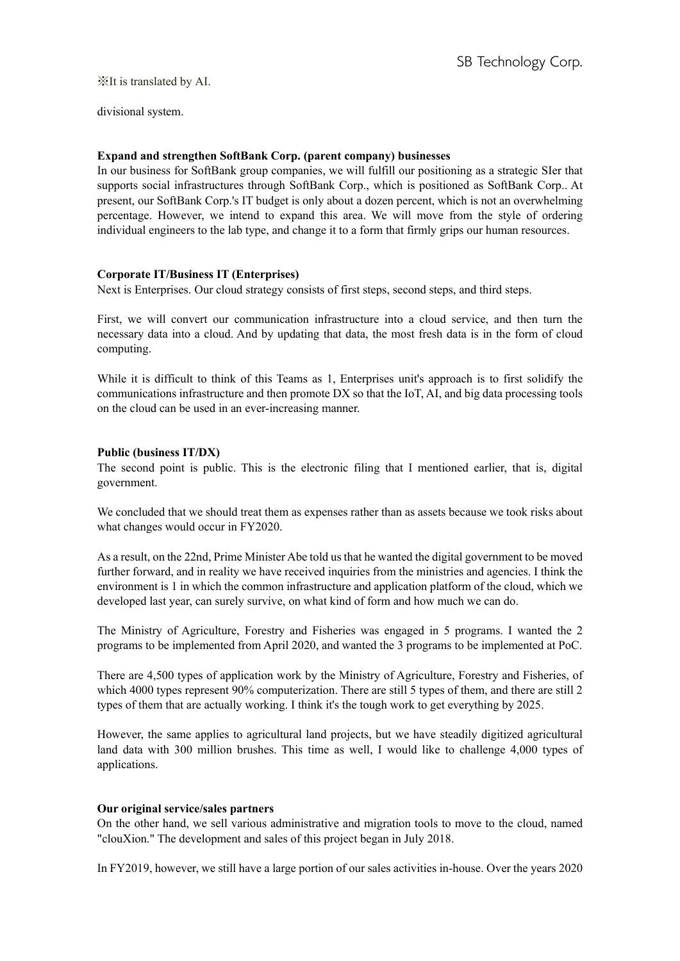divisional system.

# **Expand and strengthen SoftBank Corp. (parent company) businesses**

In our business for SoftBank group companies, we will fulfill our positioning as a strategic SIer that supports social infrastructures through SoftBank Corp., which is positioned as SoftBank Corp.. At present, our SoftBank Corp.'s IT budget is only about a dozen percent, which is not an overwhelming percentage. However, we intend to expand this area. We will move from the style of ordering individual engineers to the lab type, and change it to a form that firmly grips our human resources.

# **Corporate IT/Business IT (Enterprises)**

Next is Enterprises. Our cloud strategy consists of first steps, second steps, and third steps.

First, we will convert our communication infrastructure into a cloud service, and then turn the necessary data into a cloud. And by updating that data, the most fresh data is in the form of cloud computing.

While it is difficult to think of this Teams as 1, Enterprises unit's approach is to first solidify the communications infrastructure and then promote DX so that the IoT, AI, and big data processing tools on the cloud can be used in an ever-increasing manner.

# **Public (business IT/DX)**

The second point is public. This is the electronic filing that I mentioned earlier, that is, digital government.

We concluded that we should treat them as expenses rather than as assets because we took risks about what changes would occur in FY2020.

As a result, on the 22nd, Prime Minister Abe told us that he wanted the digital government to be moved further forward, and in reality we have received inquiries from the ministries and agencies. I think the environment is 1 in which the common infrastructure and application platform of the cloud, which we developed last year, can surely survive, on what kind of form and how much we can do.

The Ministry of Agriculture, Forestry and Fisheries was engaged in 5 programs. I wanted the 2 programs to be implemented from April 2020, and wanted the 3 programs to be implemented at PoC.

There are 4,500 types of application work by the Ministry of Agriculture, Forestry and Fisheries, of which 4000 types represent 90% computerization. There are still 5 types of them, and there are still 2 types of them that are actually working. I think it's the tough work to get everything by 2025.

However, the same applies to agricultural land projects, but we have steadily digitized agricultural land data with 300 million brushes. This time as well, I would like to challenge 4,000 types of applications.

# **Our original service/sales partners**

On the other hand, we sell various administrative and migration tools to move to the cloud, named "clouXion." The development and sales of this project began in July 2018.

In FY2019, however, we still have a large portion of our sales activities in-house. Over the years 2020